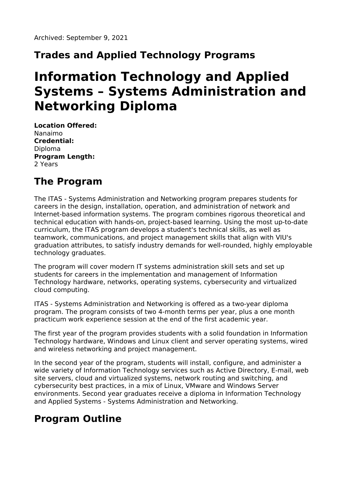# **Trades and Applied Technology Programs**

# **Information Technology and Applied Systems – Systems Administration and Networking Diploma**

**Location Offered:** Nanaimo **Credential:** Diploma **Program Length:** 2 Years

# **The Program**

The ITAS - Systems Administration and Networking program prepares students for careers in the design, installation, operation, and administration of network and Internet-based information systems. The program combines rigorous theoretical and technical education with hands-on, project-based learning. Using the most up-to-date curriculum, the ITAS program develops a student's technical skills, as well as teamwork, communications, and project management skills that align with VIU's graduation attributes, to satisfy industry demands for well-rounded, highly employable technology graduates.

The program will cover modern IT systems administration skill sets and set up students for careers in the implementation and management of Information Technology hardware, networks, operating systems, cybersecurity and virtualized cloud computing.

ITAS - Systems Administration and Networking is offered as a two-year diploma program. The program consists of two 4-month terms per year, plus a one month practicum work experience session at the end of the first academic year.

The first year of the program provides students with a solid foundation in Information Technology hardware, Windows and Linux client and server operating systems, wired and wireless networking and project management.

In the second year of the program, students will install, configure, and administer a wide variety of Information Technology services such as Active Directory, E-mail, web site servers, cloud and virtualized systems, network routing and switching, and cybersecurity best practices, in a mix of Linux, VMware and Windows Server environments. Second year graduates receive a diploma in Information Technology and Applied Systems - Systems Administration and Networking.

## **Program Outline**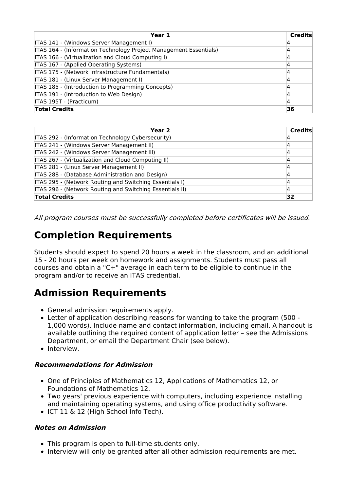| Year 1                                                            | <b>Credits</b> |
|-------------------------------------------------------------------|----------------|
| ITAS 141 - (Windows Server Management I)                          |                |
| ITAS 164 - (Information Technology Project Management Essentials) | 4              |
| ITAS 166 - (Virtualization and Cloud Computing I)                 |                |
| ITAS 167 - (Applied Operating Systems)                            | 4              |
| ITAS 175 - (Network Infrastructure Fundamentals)                  | 4              |
| ITAS 181 - (Linux Server Management I)                            | 4              |
| ITAS 185 - (Introduction to Programming Concepts)                 | 4              |
| ITAS 191 - (Introduction to Web Design)                           |                |
| ITAS 195T - (Practicum)                                           | 4              |
| <b>Total Credits</b>                                              | 36             |

| Year 2                                                   | Credits |
|----------------------------------------------------------|---------|
| ITAS 292 - (Information Technology Cybersecurity)        |         |
| ITAS 241 - (Windows Server Management II)                | 4       |
| ITAS 242 - (Windows Server Management III)               | 4       |
| ITAS 267 - (Virtualization and Cloud Computing II)       | 14      |
| ITAS 281 - (Linux Server Management II)                  | 4       |
| ITAS 288 - (Database Administration and Design)          |         |
| ITAS 295 - (Network Routing and Switching Essentials I)  | 4       |
| ITAS 296 - (Network Routing and Switching Essentials II) | 4       |
| <b>Total Credits</b>                                     | 32      |

All program courses must be successfully completed before certificates will be issued.

### **Completion Requirements**

Students should expect to spend 20 hours a week in the classroom, and an additional 15 - 20 hours per week on homework and assignments. Students must pass all courses and obtain a "C+" average in each term to be eligible to continue in the program and/or to receive an ITAS credential.

### **Admission Requirements**

- General admission requirements apply.
- Letter of application describing reasons for wanting to take the program (500 1,000 words). Include name and contact information, including email. A handout is available outlining the required content of application letter – see the Admissions Department, or email the Department Chair (see below).
- Interview.

#### **Recommendations for Admission**

- One of Principles of Mathematics 12, Applications of Mathematics 12, or Foundations of Mathematics 12.
- Two years' previous experience with computers, including experience installing and maintaining operating systems, and using office productivity software.
- ICT 11 & 12 (High School Info Tech).

#### **Notes on Admission**

- This program is open to full-time students only.
- Interview will only be granted after all other admission requirements are met.